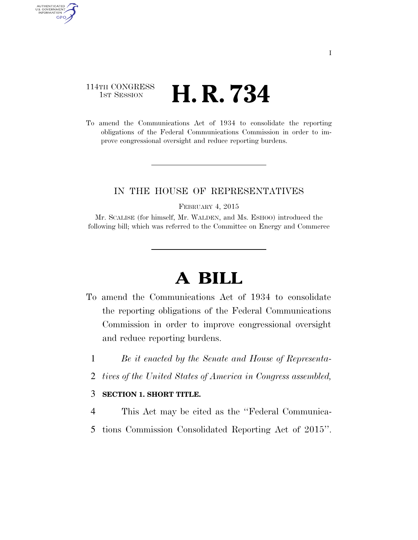# 114TH CONGRESS 1st Session **H. R. 734**

AUTHENTICATED U.S. GOVERNMENT GPO

> To amend the Communications Act of 1934 to consolidate the reporting obligations of the Federal Communications Commission in order to improve congressional oversight and reduce reporting burdens.

# IN THE HOUSE OF REPRESENTATIVES

FEBRUARY 4, 2015

Mr. SCALISE (for himself, Mr. WALDEN, and Ms. ESHOO) introduced the following bill; which was referred to the Committee on Energy and Commerce

# **A BILL**

- To amend the Communications Act of 1934 to consolidate the reporting obligations of the Federal Communications Commission in order to improve congressional oversight and reduce reporting burdens.
	- 1 *Be it enacted by the Senate and House of Representa-*
	- 2 *tives of the United States of America in Congress assembled,*

#### 3 **SECTION 1. SHORT TITLE.**

- 4 This Act may be cited as the ''Federal Communica-
- 5 tions Commission Consolidated Reporting Act of 2015''.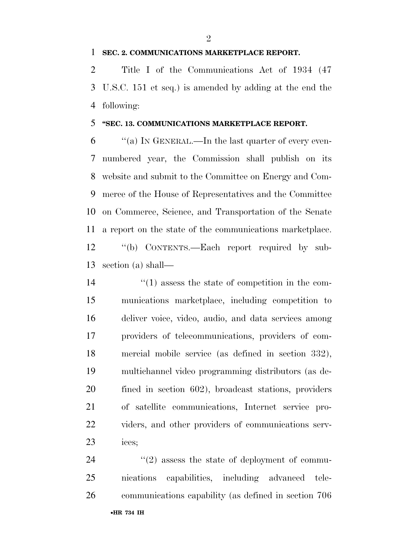## **SEC. 2. COMMUNICATIONS MARKETPLACE REPORT.**

 Title I of the Communications Act of 1934 (47 U.S.C. 151 et seq.) is amended by adding at the end the following:

## **''SEC. 13. COMMUNICATIONS MARKETPLACE REPORT.**

 $\frac{6}{100}$  ''(a) In GENERAL.—In the last quarter of every even- numbered year, the Commission shall publish on its website and submit to the Committee on Energy and Com- merce of the House of Representatives and the Committee on Commerce, Science, and Transportation of the Senate a report on the state of the communications marketplace. ''(b) CONTENTS.—Each report required by sub-section (a) shall—

 $\frac{1}{2}$  (1) assess the state of competition in the com- munications marketplace, including competition to deliver voice, video, audio, and data services among providers of telecommunications, providers of com- mercial mobile service (as defined in section 332), multichannel video programming distributors (as de- fined in section 602), broadcast stations, providers of satellite communications, Internet service pro- viders, and other providers of communications serv-ices;

24  $(2)$  assess the state of deployment of commu- nications capabilities, including advanced tele-communications capability (as defined in section 706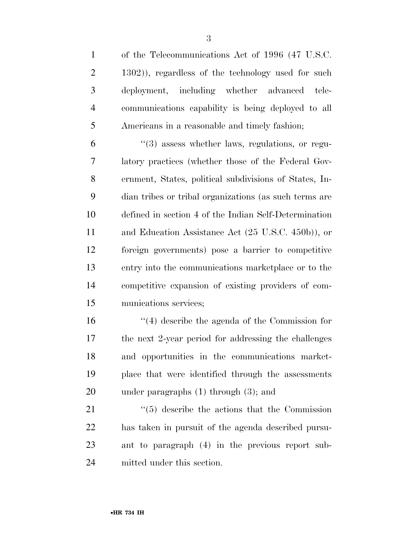of the Telecommunications Act of 1996 (47 U.S.C. 1302)), regardless of the technology used for such deployment, including whether advanced tele- communications capability is being deployed to all Americans in a reasonable and timely fashion;

 ''(3) assess whether laws, regulations, or regu- latory practices (whether those of the Federal Gov- ernment, States, political subdivisions of States, In- dian tribes or tribal organizations (as such terms are defined in section 4 of the Indian Self-Determination and Education Assistance Act (25 U.S.C. 450b)), or foreign governments) pose a barrier to competitive entry into the communications marketplace or to the competitive expansion of existing providers of com-munications services;

 ''(4) describe the agenda of the Commission for the next 2-year period for addressing the challenges and opportunities in the communications market- place that were identified through the assessments under paragraphs (1) through (3); and

21 ''(5) describe the actions that the Commission has taken in pursuit of the agenda described pursu- ant to paragraph (4) in the previous report sub-mitted under this section.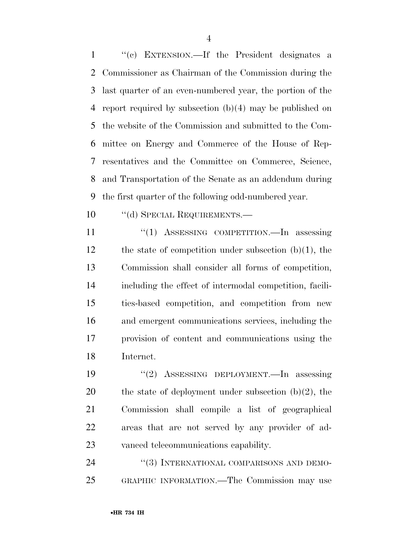''(c) EXTENSION.—If the President designates a Commissioner as Chairman of the Commission during the last quarter of an even-numbered year, the portion of the report required by subsection (b)(4) may be published on the website of the Commission and submitted to the Com- mittee on Energy and Commerce of the House of Rep- resentatives and the Committee on Commerce, Science, and Transportation of the Senate as an addendum during the first quarter of the following odd-numbered year.

10 "(d) SPECIAL REQUIREMENTS.—

11 "(1) ASSESSING COMPETITION.—In assessing the state of competition under subsection (b)(1), the Commission shall consider all forms of competition, including the effect of intermodal competition, facili- ties-based competition, and competition from new and emergent communications services, including the provision of content and communications using the Internet.

 ''(2) ASSESSING DEPLOYMENT.—In assessing 20 the state of deployment under subsection  $(b)(2)$ , the Commission shall compile a list of geographical areas that are not served by any provider of ad-vanced telecommunications capability.

24 "(3) INTERNATIONAL COMPARISONS AND DEMO-GRAPHIC INFORMATION.—The Commission may use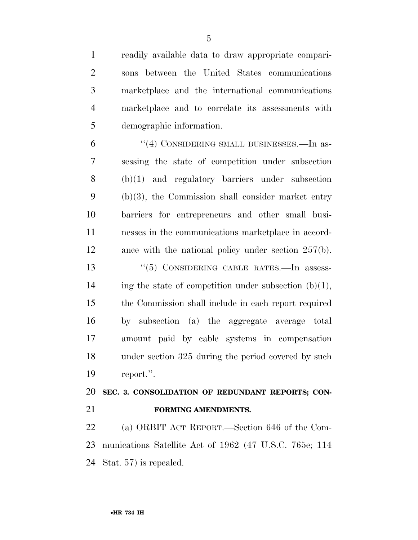readily available data to draw appropriate compari- sons between the United States communications marketplace and the international communications marketplace and to correlate its assessments with demographic information. 6 "(4) CONSIDERING SMALL BUSINESSES.—In as- sessing the state of competition under subsection (b)(1) and regulatory barriers under subsection (b)(3), the Commission shall consider market entry barriers for entrepreneurs and other small busi- nesses in the communications marketplace in accord- ance with the national policy under section 257(b). 13 ''(5) CONSIDERING CABLE RATES.—In assess-14 ing the state of competition under subsection  $(b)(1)$ , the Commission shall include in each report required by subsection (a) the aggregate average total amount paid by cable systems in compensation under section 325 during the period covered by such report.''. **SEC. 3. CONSOLIDATION OF REDUNDANT REPORTS; CON- FORMING AMENDMENTS.**  (a) ORBIT ACT REPORT.—Section 646 of the Com-

 munications Satellite Act of 1962 (47 U.S.C. 765e; 114 Stat. 57) is repealed.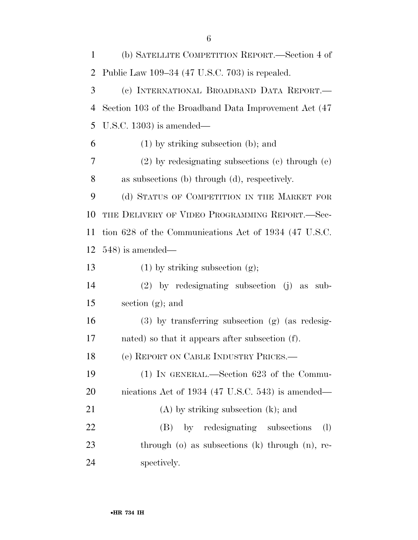| $\mathbf{1}$         | (b) SATELLITE COMPETITION REPORT.—Section 4 of                    |
|----------------------|-------------------------------------------------------------------|
| $\overline{2}$       | Public Law 109-34 (47 U.S.C. 703) is repealed.                    |
| 3                    | (c) INTERNATIONAL BROADBAND DATA REPORT.-                         |
| $\overline{4}$       | Section 103 of the Broadband Data Improvement Act (47)            |
| 5                    | U.S.C. 1303) is amended—                                          |
| 6                    | $(1)$ by striking subsection (b); and                             |
| 7                    | $(2)$ by redesignating subsections $(e)$ through $(e)$            |
| 8                    | as subsections (b) through (d), respectively.                     |
| 9                    | (d) STATUS OF COMPETITION IN THE MARKET FOR                       |
| 10                   | THE DELIVERY OF VIDEO PROGRAMMING REPORT.-Sec-                    |
| 11                   | tion 628 of the Communications Act of 1934 (47 U.S.C.             |
| 12                   | $548$ ) is amended—                                               |
|                      |                                                                   |
|                      | $(1)$ by striking subsection $(g)$ ;                              |
|                      | $(2)$ by redesignating subsection $(j)$ as sub-                   |
|                      | section $(g)$ ; and                                               |
| 13<br>14<br>15<br>16 | $(3)$ by transferring subsection $(g)$ (as redesig-               |
| 17                   | nated) so that it appears after subsection (f).                   |
| 18                   | (e) REPORT ON CABLE INDUSTRY PRICES.                              |
| 19                   | $(1)$ IN GENERAL.—Section 623 of the Commu-                       |
| 20                   | nications Act of 1934 (47 U.S.C. 543) is amended—                 |
|                      | $(A)$ by striking subsection $(k)$ ; and                          |
| 21<br>22             | by redesignating subsections<br>$\left( \mathrm{l}\right)$<br>(B) |
| 23                   | through $(o)$ as subsections $(k)$ through $(n)$ , re-            |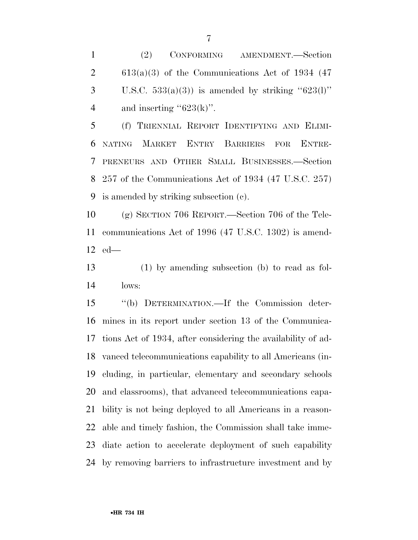$2 \qquad 613(a)(3)$  of the Communications Act of 1934 (47) 3 U.S.C.  $533(a)(3)$  is amended by striking " $623(1)$ " 4 and inserting " $623(k)$ ".

 (f) TRIENNIAL REPORT IDENTIFYING AND ELIMI- NATING MARKET ENTRY BARRIERS FOR ENTRE- PRENEURS AND OTHER SMALL BUSINESSES.—Section 257 of the Communications Act of 1934 (47 U.S.C. 257) is amended by striking subsection (c).

 (g) SECTION 706 REPORT.—Section 706 of the Tele- communications Act of 1996 (47 U.S.C. 1302) is amend-ed—

 (1) by amending subsection (b) to read as fol-lows:

 ''(b) DETERMINATION.—If the Commission deter- mines in its report under section 13 of the Communica- tions Act of 1934, after considering the availability of ad- vanced telecommunications capability to all Americans (in- cluding, in particular, elementary and secondary schools and classrooms), that advanced telecommunications capa- bility is not being deployed to all Americans in a reason- able and timely fashion, the Commission shall take imme- diate action to accelerate deployment of such capability by removing barriers to infrastructure investment and by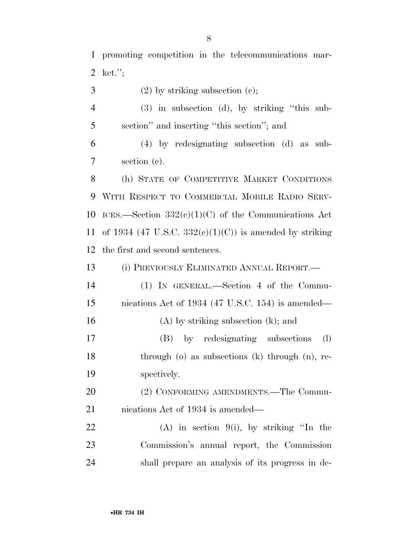| $\overline{4}$ | (3) in subsection (d), by striking "this sub-           |
|----------------|---------------------------------------------------------|
| 5              | section" and inserting "this section"; and              |
| 6              | $(4)$ by redesignating subsection $(d)$ as sub-         |
| 7              | section (c).                                            |
| 8              | (h) STATE OF COMPETITIVE MARKET CONDITIONS              |
| 9              | WITH RESPECT TO COMMERCIAL MOBILE RADIO SERV-           |
| 10             | ICES.—Section $332(e)(1)(C)$ of the Communications Act  |
| 11             | of 1934 (47 U.S.C. 332(c)(1)(C)) is amended by striking |
| 12             | the first and second sentences.                         |
| 13             | (i) PREVIOUSLY ELIMINATED ANNUAL REPORT.—               |
| 14             | (1) IN GENERAL.—Section 4 of the Commu-                 |
| 15             | nications Act of 1934 (47 U.S.C. 154) is amended—       |
| 16             | $(A)$ by striking subsection $(k)$ ; and                |
| 17             | by redesignating subsections<br>$\rm(l)$<br>(B)         |
| 18             | through $(o)$ as subsections $(k)$ through $(n)$ , re-  |
| 19             | spectively.                                             |
| 20             | (2) CONFORMING AMENDMENTS.—The Commu-                   |
| 21             | nications Act of 1934 is amended—                       |
| 22             | (A) in section $9(i)$ , by striking "In the             |
| 23             | Commission's annual report, the Commission              |
| 24             | shall prepare an analysis of its progress in de-        |
|                |                                                         |
|                |                                                         |

 promoting competition in the telecommunications mar-ket.'';

3 (2) by striking subsection (c);

•**HR 734 IH**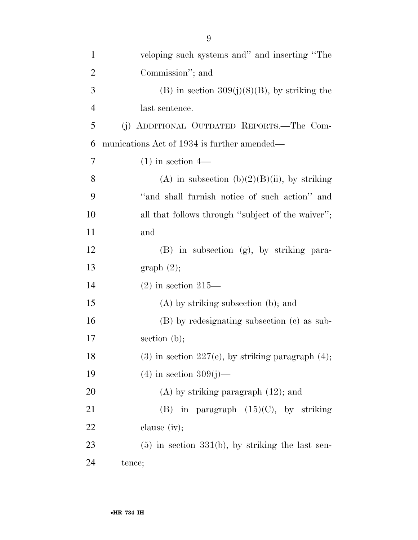| $\mathbf{1}$   | veloping such systems and" and inserting "The          |
|----------------|--------------------------------------------------------|
| $\overline{2}$ | Commission"; and                                       |
| 3              | (B) in section $309(j)(8)(B)$ , by striking the        |
| $\overline{4}$ | last sentence.                                         |
| 5              | (j) ADDITIONAL OUTDATED REPORTS.—The Com-              |
| 6              | munications Act of 1934 is further amended—            |
| 7              | $(1)$ in section 4—                                    |
| 8              | (A) in subsection (b) $(2)(B)(ii)$ , by striking       |
| 9              | "and shall furnish notice of such action" and          |
| 10             | all that follows through "subject of the waiver";      |
| 11             | and                                                    |
| 12             | (B) in subsection (g), by striking para-               |
| 13             | graph(2);                                              |
| 14             | $(2)$ in section 215—                                  |
| 15             | $(A)$ by striking subsection (b); and                  |
| 16             | (B) by redesignating subsection (c) as sub-            |
| 17             | section $(b)$ ;                                        |
| 18             | $(3)$ in section 227(e), by striking paragraph $(4)$ ; |
| 19             | $(4)$ in section 309(j)—                               |
| 20             | $(A)$ by striking paragraph $(12)$ ; and               |
| 21             | (B) in paragraph $(15)(C)$ , by striking               |
| 22             | clause $(iv);$                                         |
| 23             | $(5)$ in section 331(b), by striking the last sen-     |
| 24             | tence;                                                 |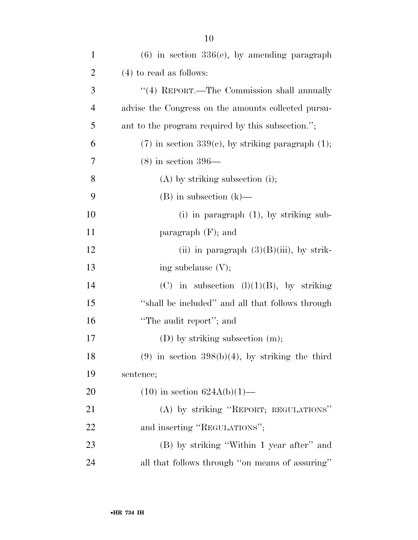| $\mathbf{1}$   | $(6)$ in section 336 $(e)$ , by amending paragraph     |
|----------------|--------------------------------------------------------|
| $\overline{2}$ | $(4)$ to read as follows:                              |
| 3              | "(4) REPORT.—The Commission shall annually             |
| $\overline{4}$ | advise the Congress on the amounts collected pursu-    |
| 5              | ant to the program required by this subsection.";      |
| 6              | $(7)$ in section 339(c), by striking paragraph $(1)$ ; |
| 7              | $(8)$ in section 396—                                  |
| 8              | $(A)$ by striking subsection (i);                      |
| 9              | $(B)$ in subsection $(k)$ —                            |
| 10             | $(i)$ in paragraph $(1)$ , by striking sub-            |
| 11             | paragraph $(F)$ ; and                                  |
| 12             | (ii) in paragraph $(3)(B)(iii)$ , by strik-            |
| 13             | ing subclause $(V)$ ;                                  |
| 14             | (C) in subsection $(l)(1)(B)$ , by striking            |
| 15             | "shall be included" and all that follows through       |
| 16             | "The audit report"; and                                |
| 17             | $(D)$ by striking subsection $(m)$ ;                   |
| 18             | $(9)$ in section 398(b)(4), by striking the third      |
| 19             | sentence;                                              |
| 20             | $(10)$ in section $624A(b)(1)$ —                       |
| 21             | (A) by striking "REPORT; REGULATIONS"                  |
| 22             | and inserting "REGULATIONS";                           |
| 23             | (B) by striking "Within 1 year after" and              |
| 24             | all that follows through "on means of assuring"        |